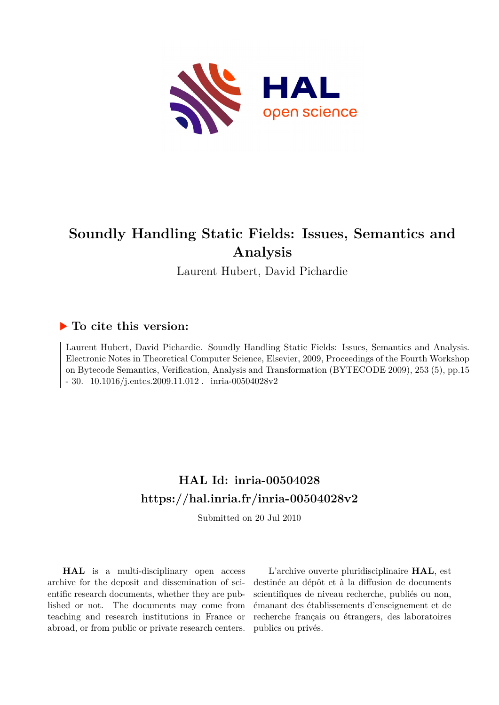

# **Soundly Handling Static Fields: Issues, Semantics and Analysis**

Laurent Hubert, David Pichardie

# **To cite this version:**

Laurent Hubert, David Pichardie. Soundly Handling Static Fields: Issues, Semantics and Analysis. Electronic Notes in Theoretical Computer Science, Elsevier, 2009, Proceedings of the Fourth Workshop on Bytecode Semantics, Verification, Analysis and Transformation (BYTECODE 2009), 253 (5), pp.15 - 30.  $10.1016/j.entcs.2009.11.012$ . inria-00504028v2

# **HAL Id: inria-00504028 <https://hal.inria.fr/inria-00504028v2>**

Submitted on 20 Jul 2010

**HAL** is a multi-disciplinary open access archive for the deposit and dissemination of scientific research documents, whether they are published or not. The documents may come from teaching and research institutions in France or abroad, or from public or private research centers.

L'archive ouverte pluridisciplinaire **HAL**, est destinée au dépôt et à la diffusion de documents scientifiques de niveau recherche, publiés ou non, émanant des établissements d'enseignement et de recherche français ou étrangers, des laboratoires publics ou privés.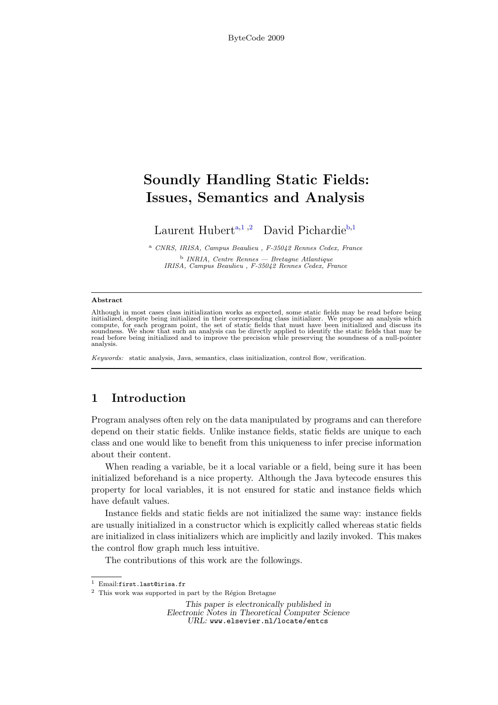# Soundly Handling Static Fields: Issues, Semantics and Analysis

<span id="page-1-0"></span>L[a](#page-1-0)urent Hubert<sup>a, [1](#page-5-0),[2](#page-5-0)</sup> David Pichardie<sup>[b](#page-1-1), 1</sup>

<span id="page-1-1"></span><sup>a</sup> *CNRS, IRISA, Campus Beaulieu , F-35042 Rennes Cedex, France* <sup>b</sup> *INRIA, Centre Rennes — Bretagne Atlantique IRISA, Campus Beaulieu , F-35042 Rennes Cedex, France*

#### Abstract

Although in most cases class initialization works as expected, some static fields may be read before being initialized, despite being initialized in their corresponding class initializer. We propose an analysis which<br>compute, for each program point, the set of static fields that must have been initialized and discuss its<br>soundn read before being initialized and to improve the precision while preserving the soundness of a null-pointer analysis.

*Keywords:* static analysis, Java, semantics, class initialization, control flow, verification.

# 1 Introduction

Program analyses often rely on the data manipulated by programs and can therefore depend on their static fields. Unlike instance fields, static fields are unique to each class and one would like to benefit from this uniqueness to infer precise information about their content.

When reading a variable, be it a local variable or a field, being sure it has been initialized beforehand is a nice property. Although the Java bytecode ensures this property for local variables, it is not ensured for static and instance fields which have default values.

Instance fields and static fields are not initialized the same way: instance fields are usually initialized in a constructor which is explicitly called whereas static fields are initialized in class initializers which are implicitly and lazily invoked. This makes the control flow graph much less intuitive.

The contributions of this work are the followings.

This paper is electronically published in Electronic Notes in Theoretical Computer Science URL: www.elsevier.nl/locate/entcs

<sup>1</sup> Email:first.last@irisa.fr

 $2$  This work was supported in part by the Région Bretagne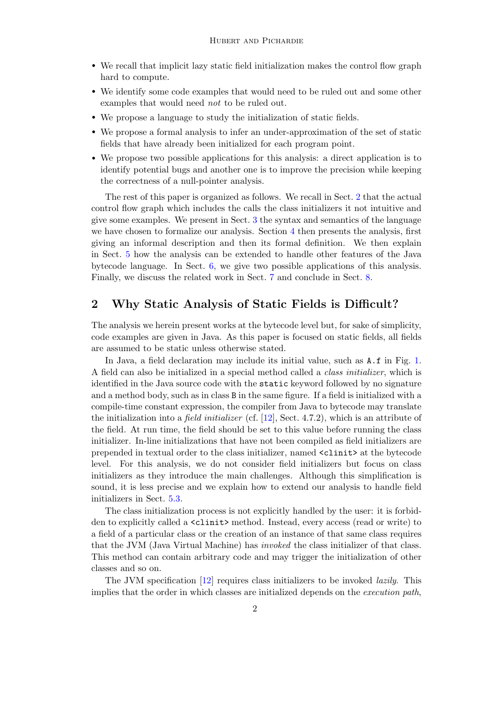- We recall that implicit lazy static field initialization makes the control flow graph hard to compute.
- We identify some code examples that would need to be ruled out and some other examples that would need not to be ruled out.
- We propose a language to study the initialization of static fields.
- We propose a formal analysis to infer an under-approximation of the set of static fields that have already been initialized for each program point.
- We propose two possible applications for this analysis: a direct application is to identify potential bugs and another one is to improve the precision while keeping the correctness of a null-pointer analysis.

The rest of this paper is organized as follows. We recall in Sect. [2](#page-2-0) that the actual control flow graph which includes the calls the class initializers it not intuitive and give some examples. We present in Sect. [3](#page-4-0) the syntax and semantics of the language we have chosen to formalize our analysis. Section [4](#page-7-0) then presents the analysis, first giving an informal description and then its formal definition. We then explain in Sect. [5](#page-12-0) how the analysis can be extended to handle other features of the Java bytecode language. In Sect. [6,](#page-13-0) we give two possible applications of this analysis. Finally, we discuss the related work in Sect. [7](#page-14-0) and conclude in Sect. [8.](#page-15-0)

### <span id="page-2-0"></span>2 Why Static Analysis of Static Fields is Difficult?

The analysis we herein present works at the bytecode level but, for sake of simplicity, code examples are given in Java. As this paper is focused on static fields, all fields are assumed to be static unless otherwise stated.

In Java, a field declaration may include its initial value, such as A.f in Fig. [1.](#page-3-0) A field can also be initialized in a special method called a class initializer, which is identified in the Java source code with the static keyword followed by no signature and a method body, such as in class B in the same figure. If a field is initialized with a compile-time constant expression, the compiler from Java to bytecode may translate the initialization into a *field initializer* (cf. [\[12\]](#page-15-1), Sect. 4.7.2), which is an attribute of the field. At run time, the field should be set to this value before running the class initializer. In-line initializations that have not been compiled as field initializers are prepended in textual order to the class initializer, named <clinit> at the bytecode level. For this analysis, we do not consider field initializers but focus on class initializers as they introduce the main challenges. Although this simplification is sound, it is less precise and we explain how to extend our analysis to handle field initializers in Sect. [5.3.](#page-13-1)

The class initialization process is not explicitly handled by the user: it is forbidden to explicitly called a  $\le$ clinit> method. Instead, every access (read or write) to a field of a particular class or the creation of an instance of that same class requires that the JVM (Java Virtual Machine) has invoked the class initializer of that class. This method can contain arbitrary code and may trigger the initialization of other classes and so on.

The JVM specification  $[12]$  requires class initializers to be invoked *lazily*. This implies that the order in which classes are initialized depends on the execution path,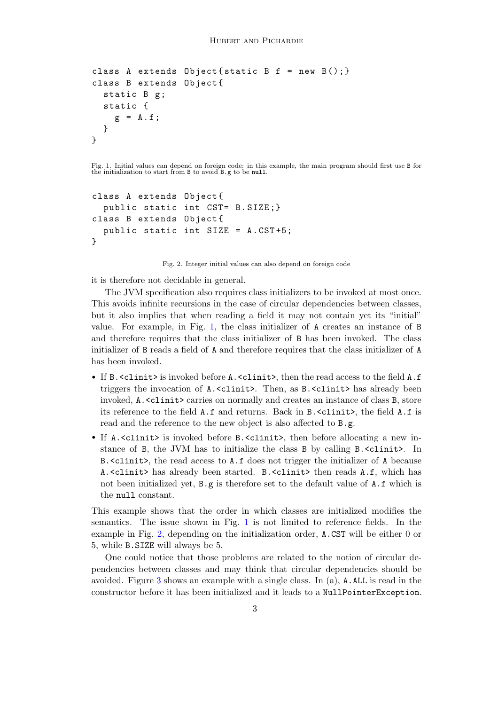```
class A extends Object { static B f = new B();}
class B extends Object {
  static B g;
  static {
    g = A.f:
  }
}
```
<span id="page-3-0"></span>Fig. 1. Initial values can depend on foreign code: in this example, the main program should first use B for the initialization to start from B to avoid B.g to be null.

```
class A extends Object {
  public static int CST= B. SIZE; }
class B extends Object {
  public static int SIZE = A.CST+5;
}
```
<span id="page-3-1"></span>Fig. 2. Integer initial values can also depend on foreign code

it is therefore not decidable in general.

The JVM specification also requires class initializers to be invoked at most once. This avoids infinite recursions in the case of circular dependencies between classes, but it also implies that when reading a field it may not contain yet its "initial" value. For example, in Fig. [1,](#page-3-0) the class initializer of A creates an instance of B and therefore requires that the class initializer of B has been invoked. The class initializer of B reads a field of A and therefore requires that the class initializer of A has been invoked.

- If B. < clinit> is invoked before A. < clinit>, then the read access to the field A.f triggers the invocation of A. <clinit>. Then, as B. <clinit> has already been invoked, A.<clinit> carries on normally and creates an instance of class B, store its reference to the field A.f and returns. Back in B.<clinit>, the field A.f is read and the reference to the new object is also affected to B.g.
- If A.<clinit> is invoked before B.<clinit>, then before allocating a new instance of B, the JVM has to initialize the class B by calling B.<clinit>. In B.<clinit>, the read access to A.f does not trigger the initializer of A because A.<clinit> has already been started. B.<clinit> then reads A.f, which has not been initialized yet, B.g is therefore set to the default value of A.f which is the null constant.

This example shows that the order in which classes are initialized modifies the semantics. The issue shown in Fig. [1](#page-3-0) is not limited to reference fields. In the example in Fig. [2,](#page-3-1) depending on the initialization order, A.CST will be either 0 or 5, while B.SIZE will always be 5.

One could notice that those problems are related to the notion of circular dependencies between classes and may think that circular dependencies should be avoided. Figure [3](#page-4-1) shows an example with a single class. In (a), A.ALL is read in the constructor before it has been initialized and it leads to a NullPointerException.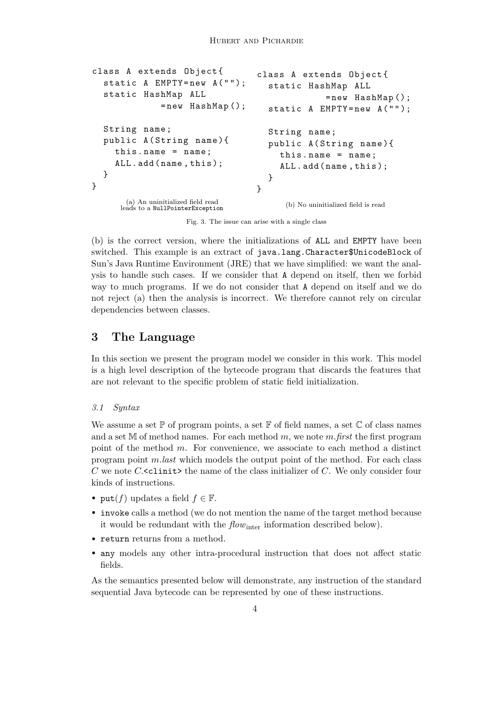```
class A extends Object {
  static A EMPTY=new A("");
  static HashMap ALL
              = new HashMap ();
  String name ;
  public A (String name) {
    this.name = name:ALL.add(name,this);
  }
}
       (a) An uninitialized field read
      leads to a NullPointerException
                                   class A extends Object {
                                     static HashMap ALL
                                                 = new HashMap ();
                                     static A EMPTY=new A("");
                                     String name ;
                                     public A( String name ){
                                       this.name = name;
                                       ALL.add(name,this);
                                     }
                                  }
                                         (b) No uninitialized field is read
```
<span id="page-4-1"></span>Fig. 3. The issue can arise with a single class

(b) is the correct version, where the initializations of ALL and EMPTY have been switched. This example is an extract of java.lang.Character\$UnicodeBlock of Sun's Java Runtime Environment (JRE) that we have simplified: we want the analysis to handle such cases. If we consider that A depend on itself, then we forbid way to much programs. If we do not consider that A depend on itself and we do not reject (a) then the analysis is incorrect. We therefore cannot rely on circular dependencies between classes.

## <span id="page-4-0"></span>3 The Language

In this section we present the program model we consider in this work. This model is a high level description of the bytecode program that discards the features that are not relevant to the specific problem of static field initialization.

#### 3.1 Syntax

We assume a set  $\mathbb P$  of program points, a set  $\mathbb F$  of field names, a set  $\mathbb C$  of class names and a set M of method names. For each method m, we note  $m$  first the first program point of the method m. For convenience, we associate to each method a distinct program point m.last which models the output point of the method. For each class C we note C. sclinits the name of the class initializer of C. We only consider four kinds of instructions.

- put(f) updates a field  $f \in \mathbb{F}$ .
- invoke calls a method (we do not mention the name of the target method because it would be redundant with the  $flow<sub>inter</sub>$  information described below).
- return returns from a method.
- any models any other intra-procedural instruction that does not affect static fields.

As the semantics presented below will demonstrate, any instruction of the standard sequential Java bytecode can be represented by one of these instructions.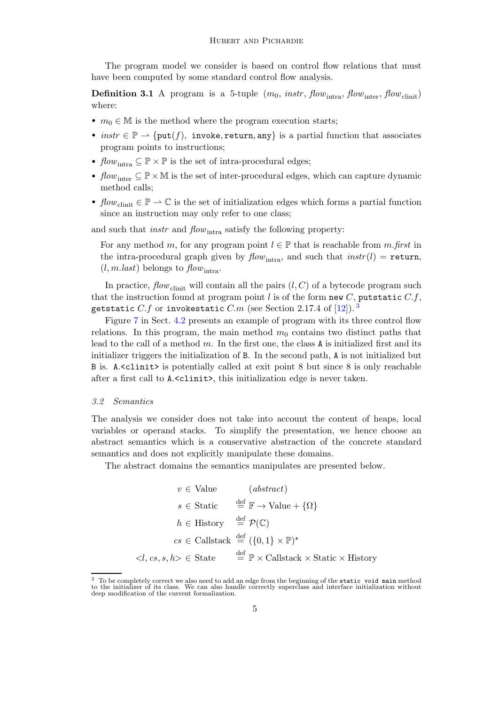The program model we consider is based on control flow relations that must have been computed by some standard control flow analysis.

**Definition 3.1** A program is a 5-tuple  $(m_0, instr, flow_{intra}, flow_{inter}, flow_{clinit})$ where:

- $m_0 \in \mathbb{M}$  is the method where the program execution starts;
- instr  $\in \mathbb{P} \to \{ \text{put}(f), \text{ invoke}, \text{return}, \text{any} \}$  is a partial function that associates program points to instructions;
- $flow_{intra} \subseteq \mathbb{P} \times \mathbb{P}$  is the set of intra-procedural edges;
- $flow_{inter} \subseteq \mathbb{P} \times \mathbb{M}$  is the set of inter-procedural edges, which can capture dynamic method calls;
- $flow_{\text{clinit}} \in \mathbb{P} \to \mathbb{C}$  is the set of initialization edges which forms a partial function since an instruction may only refer to one class;

and such that *instr* and  $flow_{intra}$  satisfy the following property:

<span id="page-5-0"></span>For any method m, for any program point  $l \in \mathbb{P}$  that is reachable from m.first in the intra-procedural graph given by  $flow_{intra}$ , and such that  $instr(l) = return$ ,  $(l, m. last)$  belongs to  $flow_{intra}$ .

In practice,  $flow_{\text{clinit}}$  will contain all the pairs  $(l, C)$  of a bytecode program such that the instruction found at program point  $l$  is of the form new  $C$ , putstatic  $C.f$ , getstatic C.f or invokestatic C.m (see Section 2.17.4 of [\[12\]](#page-15-1)).<sup>[3](#page-5-1)</sup>

Figure [7](#page-11-0) in Sect. [4.2](#page-8-0) presents an example of program with its three control flow relations. In this program, the main method  $m_0$  contains two distinct paths that lead to the call of a method  $m$ . In the first one, the class A is initialized first and its initializer triggers the initialization of B. In the second path, A is not initialized but B is. A.<clinit> is potentially called at exit point 8 but since 8 is only reachable after a first call to A.<clinit>, this initialization edge is never taken.

#### 3.2 Semantics

The analysis we consider does not take into account the content of heaps, local variables or operand stacks. To simplify the presentation, we hence choose an abstract semantics which is a conservative abstraction of the concrete standard semantics and does not explicitly manipulate these domains.

The abstract domains the semantics manipulates are presented below.

$$
v \in Value
$$
  $(abstract)$   
\n
$$
s \in \text{Static}
$$
  $\stackrel{\text{def}}{=} \mathbb{F} \to \text{Value} + {\Omega}$   
\n
$$
h \in \text{History}
$$
  $\stackrel{\text{def}}{=} \mathcal{P}(\mathbb{C})$   
\n
$$
cs \in \text{Callsack}
$$
  $\stackrel{\text{def}}{=} ({0,1} \times \mathbb{P})^*$   
\n
$$
\langle l, cs, s, h \rangle \in \text{State}
$$
  $\stackrel{\text{def}}{=} \mathbb{P} \times \text{Callsack} \times \text{Static} \times \text{History}$ 

<span id="page-5-1"></span> $3$  To be completely correct we also need to add an edge from the beginning of the static void main method to the initializer of its class. We can also handle correctly superclass and interface initialization without deep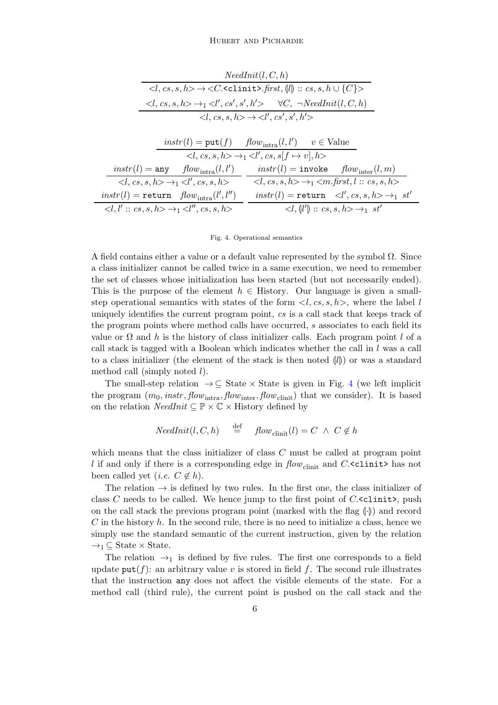| NeedInit(l, C, h)                                                                                                                      |                                                                                                    |
|----------------------------------------------------------------------------------------------------------------------------------------|----------------------------------------------------------------------------------------------------|
| $\langle l, cs, s, h \rangle \rightarrow \langle C. \langle \text{clinit} \rangle \text{ f} r s t, (l) :: cs, s, h \cup \{C\} \rangle$ |                                                                                                    |
| $\langle l, cs, s, h \rangle \rightarrow_1 \langle l', cs', s', h' \rangle \quad \forall C, \neg NeedInit(l, C, h)$                    |                                                                                                    |
| $\langle l, cs, s, h \rangle \rightarrow \langle l', cs', s', h' \rangle$                                                              |                                                                                                    |
|                                                                                                                                        |                                                                                                    |
| $instr(l) = \text{put}(f)$ $flow_{intra}(l, l')$ $v \in Value$                                                                         |                                                                                                    |
| $\langle l, cs, s, h \rangle \rightarrow_1 \langle l', cs, s[f \mapsto v], h \rangle$                                                  |                                                                                                    |
| $instr(l) = \text{any}$ $flow_{intra}(l, l')$                                                                                          | $instr(l) =$ <b>invoke</b> $flow_{inter}(l, m)$                                                    |
| $\langle l, cs, s, h \rangle \rightarrow_1 \langle l', cs, s, h \rangle$                                                               | $\langle l, cs, s, h \rangle \rightarrow_1 \langle m \text{.} \text{first}, l :: cs, s, h \rangle$ |
| $instr(l) = \texttt{return}$ $flow_{intra}(l', l'')$                                                                                   | $instr(l) = return \quad  \rightarrow_1 st'$                                                       |
| $\langle l, l':c\ s, s, h\rangle \rightarrow_1 \langle l'', c\ s, s, h\rangle$                                                         | $\langle l, \ell l' \rangle :: cs, s, h \rangle \rightarrow_1 st'$                                 |

#### <span id="page-6-0"></span>Fig. 4. Operational semantics

A field contains either a value or a default value represented by the symbol  $\Omega$ . Since a class initializer cannot be called twice in a same execution, we need to remember the set of classes whose initialization has been started (but not necessarily ended). This is the purpose of the element  $h \in H$ istory. Our language is given a smallstep operational semantics with states of the form  $\langle l, cs, s, h \rangle$ , where the label l uniquely identifies the current program point, cs is a call stack that keeps track of the program points where method calls have occurred, s associates to each field its value or  $\Omega$  and h is the history of class initializer calls. Each program point l of a call stack is tagged with a Boolean which indicates whether the call in  $l$  was a call to a class initializer (the element of the stack is then noted  $(\ell\mathbb{N})$ ) or was a standard method call (simply noted  $l$ ).

The small-step relation  $\rightarrow \subseteq$  State  $\times$  State is given in Fig. [4](#page-6-0) (we left implicit the program  $(m_0, instr, flow_{intra}, flow_{inter}, flow_{client})$  that we consider). It is based on the relation  $NeedInit \subseteq \mathbb{P} \times \mathbb{C} \times$  History defined by

$$
NeedInit(l, C, h) \stackrel{\text{def}}{=} flow_{\text{clinit}}(l) = C \ \land \ C \notin h
$$

which means that the class initializer of class  $C$  must be called at program point l if and only if there is a corresponding edge in  $flow_{\text{clinit}}$  and C. <clinit> has not been called yet (*i.e.*  $C \notin h$ ).

The relation  $\rightarrow$  is defined by two rules. In the first one, the class initializer of class  $C$  needs to be called. We hence jump to the first point of  $C$ . < clinit>, push on the call stack the previous program point (marked with the flag  $(\cdot)$ ) and record  $C$  in the history  $h$ . In the second rule, there is no need to initialize a class, hence we simply use the standard semantic of the current instruction, given by the relation  $\rightarrow_1 \subseteq$  State × State.

The relation  $\rightarrow_1$  is defined by five rules. The first one corresponds to a field update  $\text{put}(f)$ : an arbitrary value v is stored in field f. The second rule illustrates that the instruction any does not affect the visible elements of the state. For a method call (third rule), the current point is pushed on the call stack and the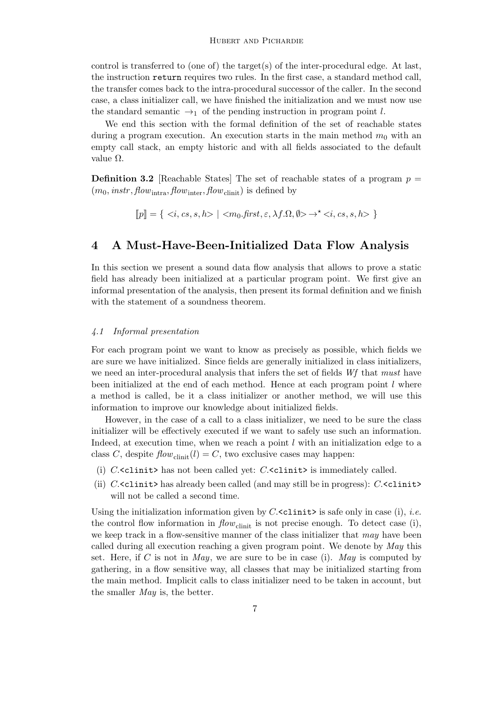control is transferred to (one of) the target(s) of the inter-procedural edge. At last, the instruction return requires two rules. In the first case, a standard method call, the transfer comes back to the intra-procedural successor of the caller. In the second case, a class initializer call, we have finished the initialization and we must now use the standard semantic  $\rightarrow_1$  of the pending instruction in program point l.

We end this section with the formal definition of the set of reachable states during a program execution. An execution starts in the main method  $m_0$  with an empty call stack, an empty historic and with all fields associated to the default value  $\Omega$ .

**Definition 3.2** [Reachable States] The set of reachable states of a program  $p =$  $(m_0, instr, flow_{intra}, flow_{inter}, flow_{client})$  is defined by

$$
[\![p]\!] = \{ \langle i, cs, s, h \rangle \mid \langle m_0 \text{.} \text{first}, \varepsilon, \lambda f. \Omega, \emptyset \rangle \rightarrow^* \langle i, cs, s, h \rangle \}
$$

## <span id="page-7-0"></span>4 A Must-Have-Been-Initialized Data Flow Analysis

In this section we present a sound data flow analysis that allows to prove a static field has already been initialized at a particular program point. We first give an informal presentation of the analysis, then present its formal definition and we finish with the statement of a soundness theorem.

### 4.1 Informal presentation

For each program point we want to know as precisely as possible, which fields we are sure we have initialized. Since fields are generally initialized in class initializers, we need an inter-procedural analysis that infers the set of fields Wf that must have been initialized at the end of each method. Hence at each program point  $l$  where a method is called, be it a class initializer or another method, we will use this information to improve our knowledge about initialized fields.

However, in the case of a call to a class initializer, we need to be sure the class initializer will be effectively executed if we want to safely use such an information. Indeed, at execution time, when we reach a point  $l$  with an initialization edge to a class C, despite  $flow_{\text{clinit}}(l) = C$ , two exclusive cases may happen:

- (i)  $C$ . <clinit> has not been called yet:  $C$ . <clinit> is immediately called.
- (ii)  $C$ . < clinit > has already been called (and may still be in progress):  $C$ . < clinit > will not be called a second time.

Using the initialization information given by C. <br/>clinit> is safe only in case (i), *i.e.* the control flow information in  $flow_{\text{clinit}}$  is not precise enough. To detect case (i), we keep track in a flow-sensitive manner of the class initializer that may have been called during all execution reaching a given program point. We denote by May this set. Here, if C is not in May, we are sure to be in case (i). May is computed by gathering, in a flow sensitive way, all classes that may be initialized starting from the main method. Implicit calls to class initializer need to be taken in account, but the smaller May is, the better.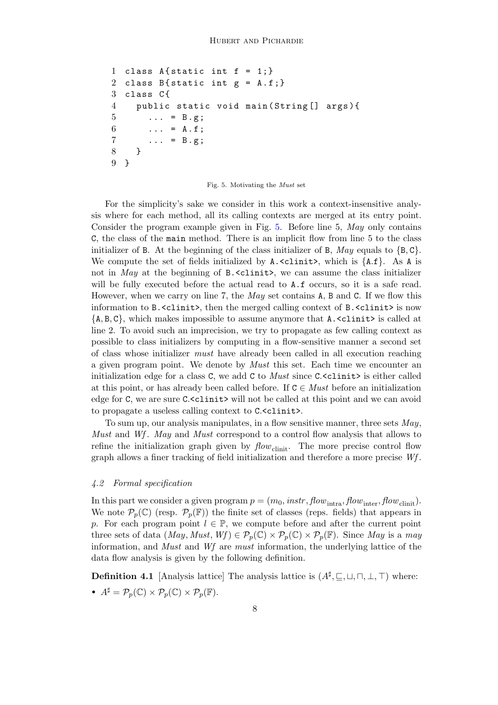```
1 class A{static int f = 1;}
2 class B{static int g = A.f.;}
3 class C {
4 public static void main ( String [] args ){
5 \quad \ldots \quad = \quad B \cdot g;
6 ... = A.f;7 \ldots = B.g;
8 }
9 }
```
<span id="page-8-1"></span>Fig. 5. Motivating the *Must* set

For the simplicity's sake we consider in this work a context-insensitive analysis where for each method, all its calling contexts are merged at its entry point. Consider the program example given in Fig. [5.](#page-8-1) Before line 5, May only contains C, the class of the main method. There is an implicit flow from line 5 to the class initializer of B. At the beginning of the class initializer of B, May equals to  $\{B, C\}$ . We compute the set of fields initialized by  $A$ . <clinit>, which is  $\{A.f\}$ . As A is not in  $May$  at the beginning of  $B$ . <clinit>, we can assume the class initializer will be fully executed before the actual read to **A**.f occurs, so it is a safe read. However, when we carry on line 7, the *May* set contains A, B and C. If we flow this information to B. <clinit>, then the merged calling context of B. <clinit> is now  ${A, B, C}$ , which makes impossible to assume anymore that A. <clinit> is called at line 2. To avoid such an imprecision, we try to propagate as few calling context as possible to class initializers by computing in a flow-sensitive manner a second set of class whose initializer must have already been called in all execution reaching a given program point. We denote by Must this set. Each time we encounter an initialization edge for a class  $C$ , we add  $C$  to *Must* since  $C$ .  $\leq$  clinit  $\geq$  is either called at this point, or has already been called before. If  $C \in Must$  before an initialization edge for C, we are sure C.<clinit> will not be called at this point and we can avoid to propagate a useless calling context to C.<clinit>.

To sum up, our analysis manipulates, in a flow sensitive manner, three sets  $May,$ Must and Wf. May and Must correspond to a control flow analysis that allows to refine the initialization graph given by  $flow_{\text{clinit}}$ . The more precise control flow graph allows a finer tracking of field initialization and therefore a more precise  $Wf$ .

#### <span id="page-8-0"></span>4.2 Formal specification

In this part we consider a given program  $p = (m_0, instr, flow_{intra}, flow_{inter}, flow_{client}).$ We note  $\mathcal{P}_p(\mathbb{C})$  (resp.  $\mathcal{P}_p(\mathbb{F})$ ) the finite set of classes (reps. fields) that appears in p. For each program point  $l \in \mathbb{P}$ , we compute before and after the current point three sets of data  $(May, Must, Wf) \in \mathcal{P}_p(\mathbb{C}) \times \mathcal{P}_p(\mathbb{C}) \times \mathcal{P}_p(\mathbb{F})$ . Since May is a may information, and Must and Wf are must information, the underlying lattice of the data flow analysis is given by the following definition.

**Definition 4.1** [Analysis lattice] The analysis lattice is  $(A^{\sharp}, \subseteq, \sqcup, \sqcap, \bot, \top)$  where: •  $A^{\sharp} = \mathcal{P}_n(\mathbb{C}) \times \mathcal{P}_n(\mathbb{C}) \times \mathcal{P}_n(\mathbb{F}).$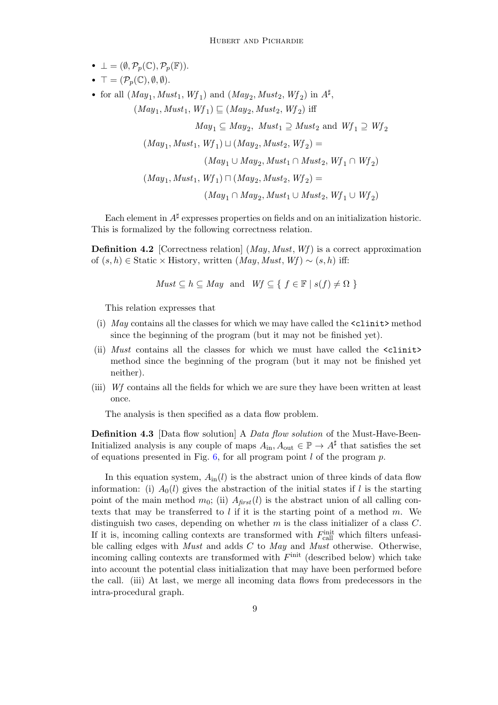- $\perp = (\emptyset, \mathcal{P}_p(\mathbb{C}), \mathcal{P}_p(\mathbb{F})).$
- $\top = (\mathcal{P}_n(\mathbb{C}), \emptyset, \emptyset).$
- for all  $(May_1, Must_1, Wf_1)$  and  $(May_2, Must_2, Wf_2)$  in  $A^{\sharp}$ ,  $(May_1, Must_1, Wf_1) \sqsubseteq (May_2, Must_2, Wf_2)$  iff

 $May_1 \subseteq May_2$ ,  $Must_1 \supseteq Must_2$  and  $Wf_1 \supseteq Wf_2$  $(May_1, Must_1, Wf_1) \sqcup (May_2, Must_2, Wf_2) =$  $(May_1 \cup May_2, Must_1 \cap Must_2, Wf_1 \cap Wf_2)$  $(May_1, Must_1, Wf_1) \sqcap (May_2, Must_2, Wf_2) =$  $(May_1 \cap May_2, Must_1 \cup Must_2, Wf_1 \cup Wf_2)$ 

Each element in  $A^{\sharp}$  expresses properties on fields and on an initialization historic. This is formalized by the following correctness relation.

**Definition 4.2** [Correctness relation]  $(May, Must, Wf)$  is a correct approximation of  $(s, h)$  ∈ Static × History, written  $(May, Must, Wf) \sim (s, h)$  iff:

$$
Must \subseteq h \subseteq May \text{ and } Wf \subseteq \{ f \in \mathbb{F} \mid s(f) \neq \Omega \}
$$

This relation expresses that

- (i) May contains all the classes for which we may have called the  $\le$ clinit> method since the beginning of the program (but it may not be finished yet).
- (ii) *Must* contains all the classes for which we must have called the  $\le$ clinit> method since the beginning of the program (but it may not be finished yet neither).
- (iii) Wf contains all the fields for which we are sure they have been written at least once.

The analysis is then specified as a data flow problem.

**Definition 4.3** [Data flow solution] A *Data flow solution* of the Must-Have-Been-Initialized analysis is any couple of maps  $A_{\text{in}}$ ,  $A_{\text{out}} \in \mathbb{P} \to A^{\sharp}$  that satisfies the set of equations presented in Fig.  $6$ , for all program point l of the program p.

In this equation system,  $A_{in}(l)$  is the abstract union of three kinds of data flow information: (i)  $A_0(l)$  gives the abstraction of the initial states if l is the starting point of the main method  $m_0$ ; (ii)  $A_{first}(l)$  is the abstract union of all calling contexts that may be transferred to  $l$  if it is the starting point of a method  $m$ . We distinguish two cases, depending on whether  $m$  is the class initializer of a class  $C$ . If it is, incoming calling contexts are transformed with  $F_{\text{call}}^{\text{init}}$  which filters unfeasible calling edges with *Must* and adds  $C$  to *May* and *Must* otherwise. Otherwise, incoming calling contexts are transformed with  $F<sup>init</sup>$  (described below) which take into account the potential class initialization that may have been performed before the call. (iii) At last, we merge all incoming data flows from predecessors in the intra-procedural graph.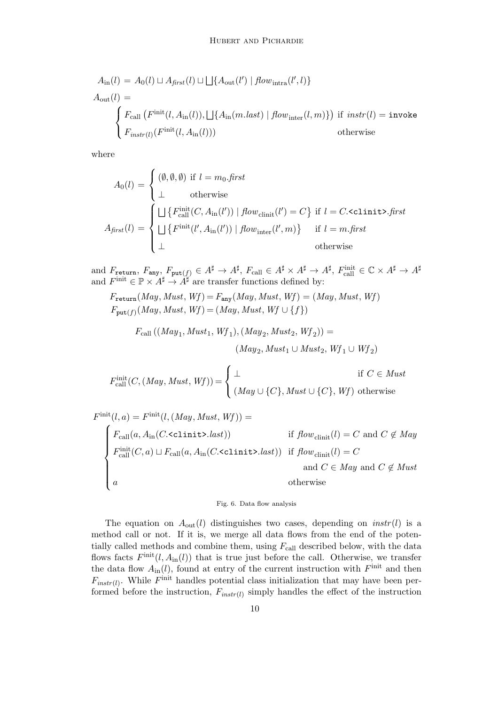$$
A_{\rm in}(l) = A_0(l) \sqcup A_{\rm first}(l) \sqcup \sqcup \{A_{\rm out}(l') \mid \text{flow}_{\rm intra}(l', l)\}
$$
  
\n
$$
A_{\rm out}(l) = \begin{cases} F_{\rm call}(F^{\rm init}(l, A_{\rm in}(l)), \sqcup \{A_{\rm in}(m, last) \mid \text{flow}_{\rm inter}(l, m)\}) \text{ if } \text{instr}(l) = \text{invoke} \\ F_{\text{instr}(l)}(F^{\rm init}(l, A_{\rm in}(l))) \end{cases}
$$

where

$$
A_0(l) = \begin{cases} (\emptyset, \emptyset, \emptyset) & \text{if } l = m_0 \text{.} \text{first} \\ \perp & \text{otherwise} \end{cases}
$$
  

$$
A_{\text{first}}(l) = \begin{cases} \sqcup \{F_{\text{call}}^{\text{init}}(C, A_{\text{in}}(l')) \mid \text{flow}_{\text{client}}(l') = C\} & \text{if } l = C \text{.} & \text{clinit>.} \text{.} \text{first} \\ \sqcup \{F^{\text{init}}(l', A_{\text{in}}(l')) \mid \text{flow}_{\text{inter}}(l', m)\} & \text{if } l = m \text{.} \text{first} \\ \perp & \text{otherwise} \end{cases}
$$

and  $F_{\text{return}}, F_{\text{any}}, F_{\text{put}(f)} \in A^{\sharp} \to A^{\sharp}, F_{\text{call}} \in A^{\sharp} \times A^{\sharp} \to A^{\sharp}, F_{\text{call}}^{\text{init}} \in \mathbb{C} \times A^{\sharp} \to A^{\sharp}$ and  $F^{\text{init}} \in \mathbb{P} \times A^{\sharp} \to A^{\sharp}$  are transfer functions defined by:

 $F_{\text{return}}(May, Must, Wf) = F_{\text{any}}(May, Must, Wf) = (May, Must, Wf)$  $F_{\text{put}(f)}(May, Must, Wf) = (May, Must, Wf \cup \{f\})$ 

$$
F_{\text{call}}((May_1, Must_1, Wf_1), (May_2, Must_2, Wf_2)) =
$$
  

$$
(May_2, Must_1 \cup Must_2, Wf_1 \cup Wf_2)
$$

$$
F_{\text{call}}^{\text{init}}(C, (May, Must, Wf)) = \begin{cases} \perp & \text{if } C \in Must \\ (May \cup \{C\}, Must \cup \{C\}, Wf) \text{ otherwise} \end{cases}
$$

$$
F^{\text{init}}(l, a) = F^{\text{init}}(l, (May, Must, Wf)) =
$$
\n
$$
\begin{cases}\nF_{\text{call}}(a, A_{\text{in}}(C < \text{clinit} > last)) & \text{if flow}_{\text{clinit}}(l) = C \text{ and } C \notin May \\
F^{\text{init}}_{\text{call}}(C, a) \sqcup F_{\text{call}}(a, A_{\text{in}}(C < \text{clinit} > last)) & \text{if flow}_{\text{clinit}}(l) = C \\
a & \text{and } C \in May \text{ and } C \notin Must \\
a & \text{otherwise}\n\end{cases}
$$

<span id="page-10-0"></span>Fig. 6. Data flow analysis

The equation on  $A_{\text{out}}(l)$  distinguishes two cases, depending on  $instr(l)$  is a method call or not. If it is, we merge all data flows from the end of the potentially called methods and combine them, using  $F_{\text{call}}$  described below, with the data flows facts  $F^{\text{init}}(l, A_{\text{in}}(l))$  that is true just before the call. Otherwise, we transfer the data flow  $A_{\text{in}}(l)$ , found at entry of the current instruction with  $F^{\text{init}}$  and then  $F_{instr(l)}$ . While  $F<sup>init</sup>$  handles potential class initialization that may have been performed before the instruction,  $F_{instr(l)}$  simply handles the effect of the instruction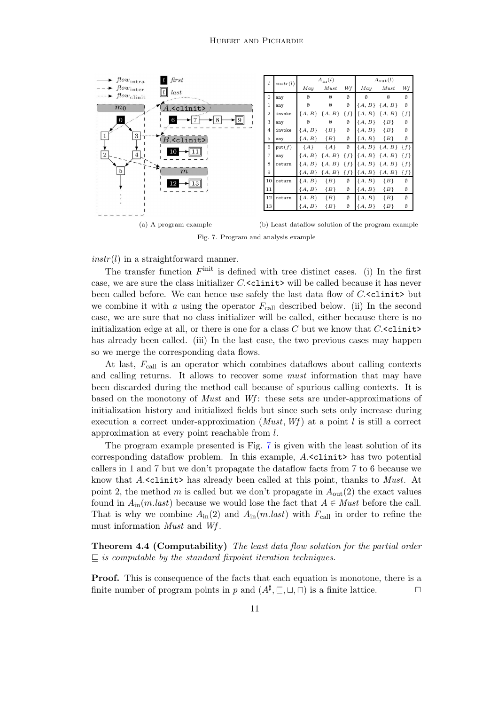

<span id="page-11-0"></span>Fig. 7. Program and analysis example

 $instr(l)$  in a straightforward manner.

The transfer function  $F<sup>init</sup>$  is defined with tree distinct cases. (i) In the first case, we are sure the class initializer  $C$ .  $\text{c}$  called because it has never been called before. We can hence use safely the last data flow of  $C$ . <clinit> but we combine it with a using the operator  $F_{\text{call}}$  described below. (ii) In the second case, we are sure that no class initializer will be called, either because there is no initialization edge at all, or there is one for a class  $C$  but we know that  $C$ - $\text{cclinit}$ has already been called. (iii) In the last case, the two previous cases may happen so we merge the corresponding data flows.

At last,  $F_{\text{call}}$  is an operator which combines dataflows about calling contexts and calling returns. It allows to recover some must information that may have been discarded during the method call because of spurious calling contexts. It is based on the monotony of *Must* and  $Wf$ : these sets are under-approximations of initialization history and initialized fields but since such sets only increase during execution a correct under-approximation  $(Must, Wf)$  at a point l is still a correct approximation at every point reachable from l.

The program example presented is Fig. [7](#page-11-0) is given with the least solution of its corresponding dataflow problem. In this example,  $A$ - $\text{clinit}\rangle$  has two potential callers in 1 and 7 but we don't propagate the dataflow facts from 7 to 6 because we know that A.<clinit> has already been called at this point, thanks to Must. At point 2, the method m is called but we don't propagate in  $A_{\text{out}}(2)$  the exact values found in  $A_{\text{in}}(m.\text{last})$  because we would lose the fact that  $A \in \text{Must}$  before the call. That is why we combine  $A_{\text{in}}(2)$  and  $A_{\text{in}}(m\text{.}last)$  with  $F_{\text{call}}$  in order to refine the must information *Must* and Wf.

Theorem 4.4 (Computability) The least data flow solution for the partial order  $\subseteq$  is computable by the standard fixpoint iteration techniques.

Proof. This is consequence of the facts that each equation is monotone, there is a finite number of program points in p and  $(A^{\sharp}, \subseteq, \sqcup, \sqcap)$  is a finite lattice.  $\Box$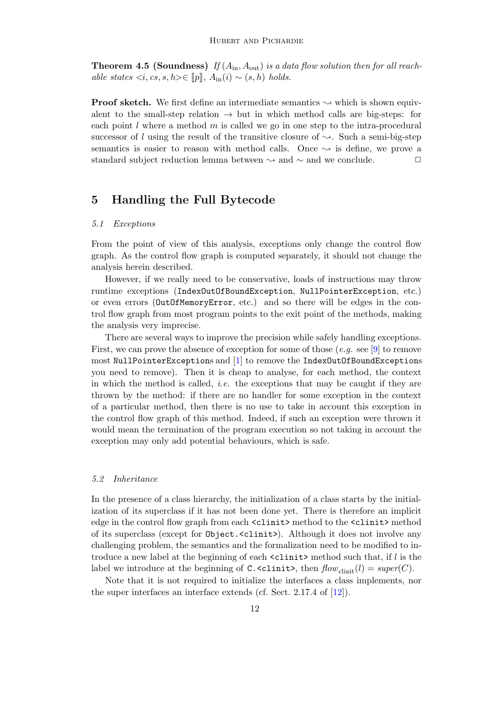**Theorem 4.5 (Soundness)** If  $(A_{in}, A_{out})$  is a data flow solution then for all reachable states  $\langle i, cs, s, h \rangle \in [p], A_{in}(i) \sim (s, h)$  holds.

**Proof sketch.** We first define an intermediate semantics  $\sim$  which is shown equivalent to the small-step relation  $\rightarrow$  but in which method calls are big-steps: for each point  $l$  where a method  $m$  is called we go in one step to the intra-procedural successor of l using the result of the transitive closure of  $\sim$ . Such a semi-big-step semantics is easier to reason with method calls. Once  $\sim$  is define, we prove a standard subject reduction lemma between  $\sim$  and  $\sim$  and we conclude.  $\Box$ 

## <span id="page-12-0"></span>5 Handling the Full Bytecode

#### 5.1 Exceptions

From the point of view of this analysis, exceptions only change the control flow graph. As the control flow graph is computed separately, it should not change the analysis herein described.

However, if we really need to be conservative, loads of instructions may throw runtime exceptions (IndexOutOfBoundException, NullPointerException, etc.) or even errors (OutOfMemoryError, etc.) and so there will be edges in the control flow graph from most program points to the exit point of the methods, making the analysis very imprecise.

There are several ways to improve the precision while safely handling exceptions. First, we can prove the absence of exception for some of those  $(e,q)$  see [\[9\]](#page-15-2) to remove most NullPointerExceptions and [\[1\]](#page-15-3) to remove the IndexOutOfBoundExceptions you need to remove). Then it is cheap to analyse, for each method, the context in which the method is called, i.e. the exceptions that may be caught if they are thrown by the method: if there are no handler for some exception in the context of a particular method, then there is no use to take in account this exception in the control flow graph of this method. Indeed, if such an exception were thrown it would mean the termination of the program execution so not taking in account the exception may only add potential behaviours, which is safe.

#### 5.2 Inheritance

In the presence of a class hierarchy, the initialization of a class starts by the initialization of its superclass if it has not been done yet. There is therefore an implicit edge in the control flow graph from each <clinit> method to the <clinit> method of its superclass (except for Object.<clinit>). Although it does not involve any challenging problem, the semantics and the formalization need to be modified to introduce a new label at the beginning of each  $\le$ clinit> method such that, if l is the label we introduce at the beginning of C. <clinit>, then  $flow_{\text{clinit}}(l) = super(C)$ .

Note that it is not required to initialize the interfaces a class implements, nor the super interfaces an interface extends (cf. Sect. 2.17.4 of [\[12\]](#page-15-1)).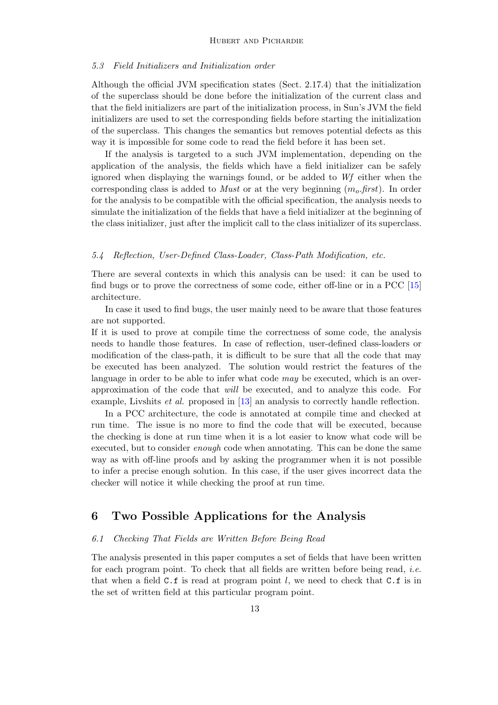#### <span id="page-13-1"></span>5.3 Field Initializers and Initialization order

Although the official JVM specification states (Sect. 2.17.4) that the initialization of the superclass should be done before the initialization of the current class and that the field initializers are part of the initialization process, in Sun's JVM the field initializers are used to set the corresponding fields before starting the initialization of the superclass. This changes the semantics but removes potential defects as this way it is impossible for some code to read the field before it has been set.

If the analysis is targeted to a such JVM implementation, depending on the application of the analysis, the fields which have a field initializer can be safely ignored when displaying the warnings found, or be added to Wf either when the corresponding class is added to *Must* or at the very beginning  $(m_0$ -first). In order for the analysis to be compatible with the official specification, the analysis needs to simulate the initialization of the fields that have a field initializer at the beginning of the class initializer, just after the implicit call to the class initializer of its superclass.

#### <span id="page-13-2"></span>5.4 Reflection, User-Defined Class-Loader, Class-Path Modification, etc.

There are several contexts in which this analysis can be used: it can be used to find bugs or to prove the correctness of some code, either off-line or in a PCC [\[15\]](#page-15-4) architecture.

In case it used to find bugs, the user mainly need to be aware that those features are not supported.

If it is used to prove at compile time the correctness of some code, the analysis needs to handle those features. In case of reflection, user-defined class-loaders or modification of the class-path, it is difficult to be sure that all the code that may be executed has been analyzed. The solution would restrict the features of the language in order to be able to infer what code may be executed, which is an overapproximation of the code that will be executed, and to analyze this code. For example, Livshits *et al.* proposed in [\[13\]](#page-15-5) an analysis to correctly handle reflection.

In a PCC architecture, the code is annotated at compile time and checked at run time. The issue is no more to find the code that will be executed, because the checking is done at run time when it is a lot easier to know what code will be executed, but to consider *enough* code when annotating. This can be done the same way as with off-line proofs and by asking the programmer when it is not possible to infer a precise enough solution. In this case, if the user gives incorrect data the checker will notice it while checking the proof at run time.

## <span id="page-13-0"></span>6 Two Possible Applications for the Analysis

#### 6.1 Checking That Fields are Written Before Being Read

The analysis presented in this paper computes a set of fields that have been written for each program point. To check that all fields are written before being read, i.e. that when a field  $C.f$  is read at program point  $l$ , we need to check that  $C.f$  is in the set of written field at this particular program point.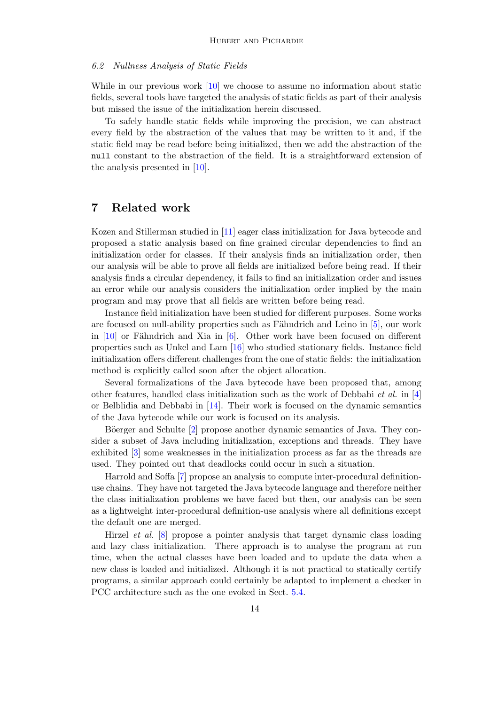#### 6.2 Nullness Analysis of Static Fields

While in our previous work [\[10\]](#page-15-6) we choose to assume no information about static fields, several tools have targeted the analysis of static fields as part of their analysis but missed the issue of the initialization herein discussed.

To safely handle static fields while improving the precision, we can abstract every field by the abstraction of the values that may be written to it and, if the static field may be read before being initialized, then we add the abstraction of the null constant to the abstraction of the field. It is a straightforward extension of the analysis presented in [\[10\]](#page-15-6).

## <span id="page-14-0"></span>7 Related work

Kozen and Stillerman studied in [\[11\]](#page-15-7) eager class initialization for Java bytecode and proposed a static analysis based on fine grained circular dependencies to find an initialization order for classes. If their analysis finds an initialization order, then our analysis will be able to prove all fields are initialized before being read. If their analysis finds a circular dependency, it fails to find an initialization order and issues an error while our analysis considers the initialization order implied by the main program and may prove that all fields are written before being read.

Instance field initialization have been studied for different purposes. Some works are focused on null-ability properties such as Fähndrich and Leino in  $[5]$ , our work in  $[10]$  or Fähndrich and Xia in  $[6]$ . Other work have been focused on different properties such as Unkel and Lam [\[16\]](#page-15-10) who studied stationary fields. Instance field initialization offers different challenges from the one of static fields: the initialization method is explicitly called soon after the object allocation.

Several formalizations of the Java bytecode have been proposed that, among other features, handled class initialization such as the work of Debbabi *et al.* in [\[4\]](#page-15-11) or Belblidia and Debbabi in [\[14\]](#page-15-12). Their work is focused on the dynamic semantics of the Java bytecode while our work is focused on its analysis.

Böerger and Schulte [\[2\]](#page-15-13) propose another dynamic semantics of Java. They consider a subset of Java including initialization, exceptions and threads. They have exhibited [\[3\]](#page-15-14) some weaknesses in the initialization process as far as the threads are used. They pointed out that deadlocks could occur in such a situation.

Harrold and Soffa [\[7\]](#page-15-15) propose an analysis to compute inter-procedural definitionuse chains. They have not targeted the Java bytecode language and therefore neither the class initialization problems we have faced but then, our analysis can be seen as a lightweight inter-procedural definition-use analysis where all definitions except the default one are merged.

Hirzel et al. [\[8\]](#page-15-16) propose a pointer analysis that target dynamic class loading and lazy class initialization. There approach is to analyse the program at run time, when the actual classes have been loaded and to update the data when a new class is loaded and initialized. Although it is not practical to statically certify programs, a similar approach could certainly be adapted to implement a checker in PCC architecture such as the one evoked in Sect. [5.4.](#page-13-2)